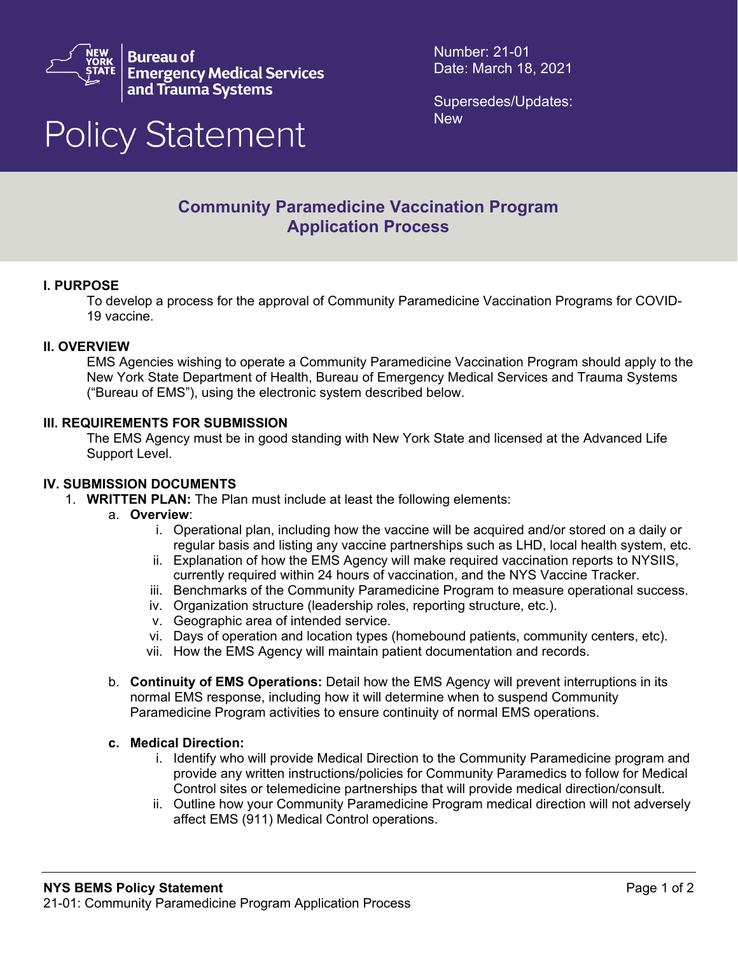

**Bureau of Emergency Medical Services** and Trauma Systems

# **Policy Statement**

Number: 21-01 Date: March 18, 2021

Supersedes/Updates: **New** 

# **Community Paramedicine Vaccination Program Application Process**

# **I. PURPOSE**

To develop a process for the approval of Community Paramedicine Vaccination Programs for COVID-19 vaccine.

## **II. OVERVIEW**

EMS Agencies wishing to operate a Community Paramedicine Vaccination Program should apply to the New York State Department of Health, Bureau of Emergency Medical Services and Trauma Systems ("Bureau of EMS"), using the electronic system described below.

#### **III. REQUIREMENTS FOR SUBMISSION**

The EMS Agency must be in good standing with New York State and licensed at the Advanced Life Support Level.

#### **IV. SUBMISSION DOCUMENTS**

- 1. **WRITTEN PLAN:** The Plan must include at least the following elements:
	- a. **Overview**:
		- i. Operational plan, including how the vaccine will be acquired and/or stored on a daily or regular basis and listing any vaccine partnerships such as LHD, local health system, etc.
		- ii. Explanation of how the EMS Agency will make required vaccination reports to NYSIIS, currently required within 24 hours of vaccination, and the NYS Vaccine Tracker.
		- iii. Benchmarks of the Community Paramedicine Program to measure operational success.
		- iv. Organization structure (leadership roles, reporting structure, etc.).
		- v. Geographic area of intended service.
		- vi. Days of operation and location types (homebound patients, community centers, etc).
		- vii. How the EMS Agency will maintain patient documentation and records.
		- b. **Continuity of EMS Operations:** Detail how the EMS Agency will prevent interruptions in its normal EMS response, including how it will determine when to suspend Community Paramedicine Program activities to ensure continuity of normal EMS operations.

#### **c. Medical Direction:**

- i. Identify who will provide Medical Direction to the Community Paramedicine program and provide any written instructions/policies for Community Paramedics to follow for Medical Control sites or telemedicine partnerships that will provide medical direction/consult.
- ii. Outline how your Community Paramedicine Program medical direction will not adversely affect EMS (911) Medical Control operations.